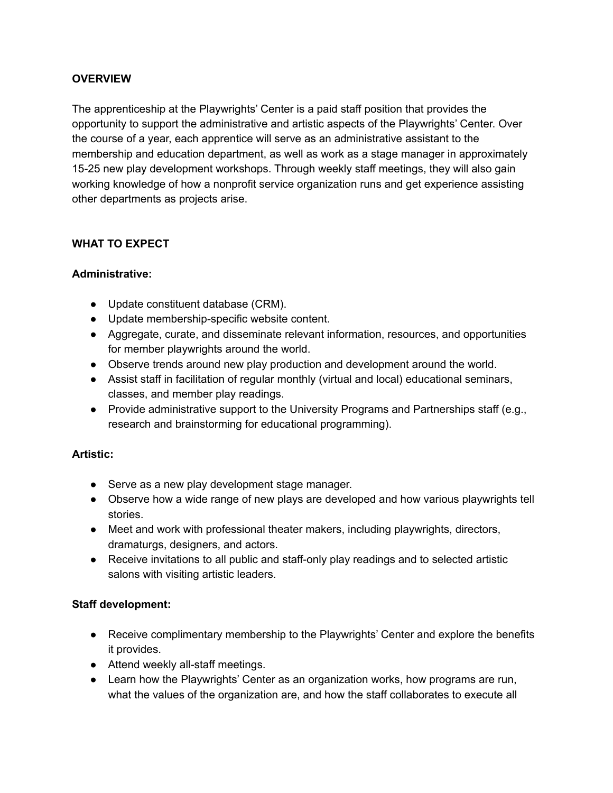## **OVERVIEW**

The apprenticeship at the Playwrights' Center is a paid staff position that provides the opportunity to support the administrative and artistic aspects of the Playwrights' Center. Over the course of a year, each apprentice will serve as an administrative assistant to the membership and education department, as well as work as a stage manager in approximately 15-25 new play development workshops. Through weekly staff meetings, they will also gain working knowledge of how a nonprofit service organization runs and get experience assisting other departments as projects arise.

## **WHAT TO EXPECT**

#### **Administrative:**

- Update constituent database (CRM).
- Update membership-specific website content.
- Aggregate, curate, and disseminate relevant information, resources, and opportunities for member playwrights around the world.
- Observe trends around new play production and development around the world.
- Assist staff in facilitation of regular monthly (virtual and local) educational seminars, classes, and member play readings.
- Provide administrative support to the University Programs and Partnerships staff (e.g., research and brainstorming for educational programming).

## **Artistic:**

- Serve as a new play development stage manager.
- Observe how a wide range of new plays are developed and how various playwrights tell stories.
- Meet and work with professional theater makers, including playwrights, directors, dramaturgs, designers, and actors.
- Receive invitations to all public and staff-only play readings and to selected artistic salons with visiting artistic leaders.

#### **Staff development:**

- Receive complimentary membership to the Playwrights' Center and explore the benefits it provides.
- Attend weekly all-staff meetings.
- Learn how the Playwrights' Center as an organization works, how programs are run, what the values of the organization are, and how the staff collaborates to execute all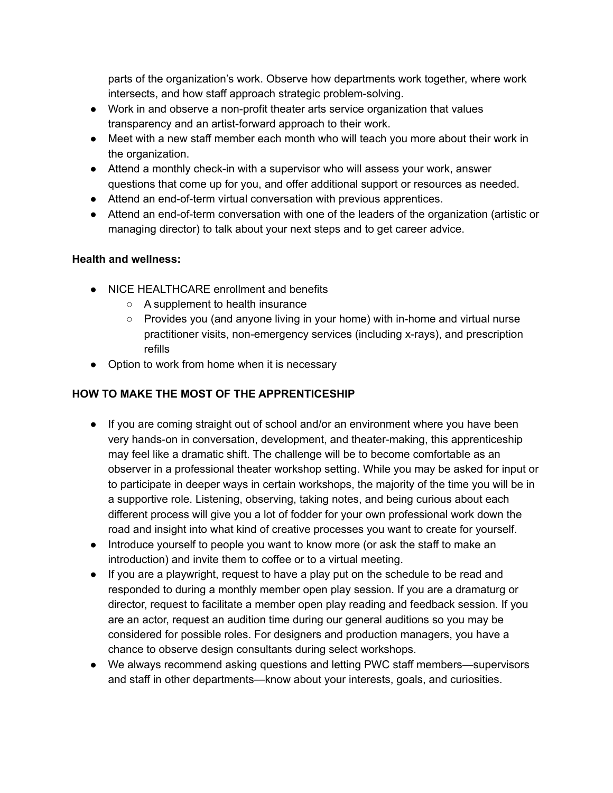parts of the organization's work. Observe how departments work together, where work intersects, and how staff approach strategic problem-solving.

- Work in and observe a non-profit theater arts service organization that values transparency and an artist-forward approach to their work.
- Meet with a new staff member each month who will teach you more about their work in the organization.
- Attend a monthly check-in with a supervisor who will assess your work, answer questions that come up for you, and offer additional support or resources as needed.
- Attend an end-of-term virtual conversation with previous apprentices.
- Attend an end-of-term conversation with one of the leaders of the organization (artistic or managing director) to talk about your next steps and to get career advice.

# **Health and wellness:**

- NICE HEALTHCARE enrollment and benefits
	- A supplement to health insurance
	- Provides you (and anyone living in your home) with in-home and virtual nurse practitioner visits, non-emergency services (including x-rays), and prescription refills
- Option to work from home when it is necessary

# **HOW TO MAKE THE MOST OF THE APPRENTICESHIP**

- If you are coming straight out of school and/or an environment where you have been very hands-on in conversation, development, and theater-making, this apprenticeship may feel like a dramatic shift. The challenge will be to become comfortable as an observer in a professional theater workshop setting. While you may be asked for input or to participate in deeper ways in certain workshops, the majority of the time you will be in a supportive role. Listening, observing, taking notes, and being curious about each different process will give you a lot of fodder for your own professional work down the road and insight into what kind of creative processes you want to create for yourself.
- Introduce yourself to people you want to know more (or ask the staff to make an introduction) and invite them to coffee or to a virtual meeting.
- If you are a playwright, request to have a play put on the schedule to be read and responded to during a monthly member open play session. If you are a dramaturg or director, request to facilitate a member open play reading and feedback session. If you are an actor, request an audition time during our general auditions so you may be considered for possible roles. For designers and production managers, you have a chance to observe design consultants during select workshops.
- We always recommend asking questions and letting PWC staff members—supervisors and staff in other departments—know about your interests, goals, and curiosities.